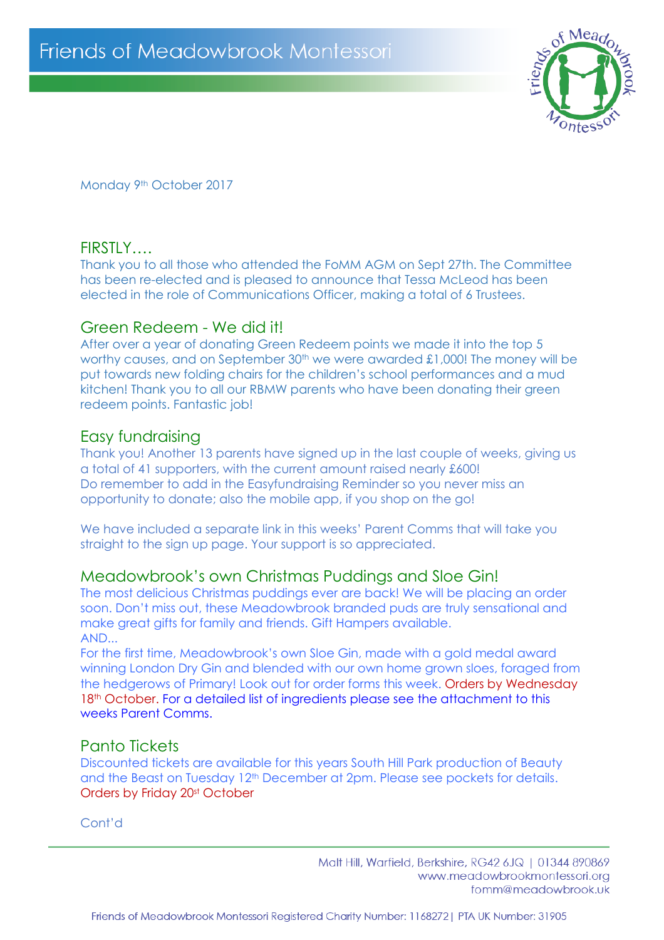

Monday 9<sup>th</sup> October 2017

## FIRSTLY….

Thank you to all those who attended the FoMM AGM on Sept 27th. The Committee has been re-elected and is pleased to announce that Tessa McLeod has been elected in the role of Communications Officer, making a total of 6 Trustees.

## Green Redeem - We did it!

After over a year of donating Green Redeem points we made it into the top 5 worthy causes, and on September  $30<sup>th</sup>$  we were awarded £1,000! The money will be put towards new folding chairs for the children's school performances and a mud kitchen! Thank you to all our RBMW parents who have been donating their green redeem points. Fantastic job!

## Easy fundraising

Thank you! Another 13 parents have signed up in the last couple of weeks, giving us a total of 41 supporters, with the current amount raised nearly £600! Do remember to add in the Easyfundraising Reminder so you never miss an opportunity to donate; also the mobile app, if you shop on the go!

We have included a separate link in this weeks' Parent Comms that will take you straight to the sign up page. Your support is so appreciated.

# Meadowbrook's own Christmas Puddings and Sloe Gin!

The most delicious Christmas puddings ever are back! We will be placing an order soon. Don't miss out, these Meadowbrook branded puds are truly sensational and make great gifts for family and friends. Gift Hampers available. AND...

For the first time, Meadowbrook's own Sloe Gin, made with a gold medal award winning London Dry Gin and blended with our own home grown sloes, foraged from the hedgerows of Primary! Look out for order forms this week. Orders by Wednesday 18<sup>th</sup> October. For a detailed list of ingredients please see the attachment to this weeks Parent Comms.

# Panto Tickets

Discounted tickets are available for this years South Hill Park production of Beauty and the Beast on Tuesday 12<sup>th</sup> December at 2pm. Please see pockets for details. Orders by Friday 20st October

Cont'd